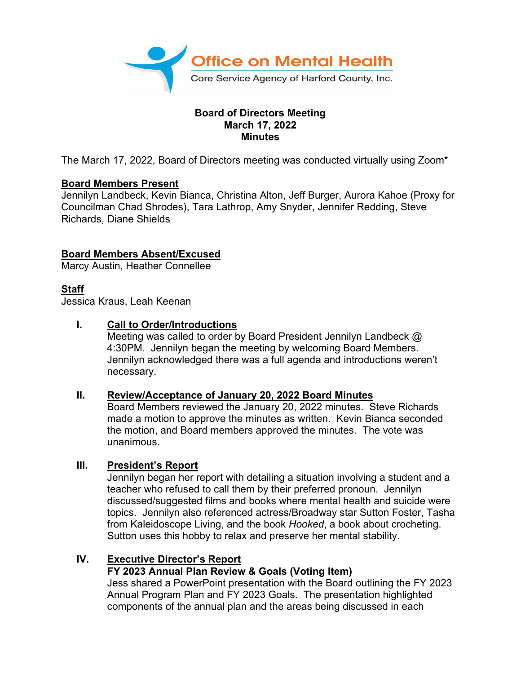

### **Board of Directors Meeting March 17, 2022 Minutes**

The March 17, 2022, Board of Directors meeting was conducted virtually using Zoom\*

### **Board Members Present**

Jennilyn Landbeck, Kevin Bianca, Christina Alton, Jeff Burger, Aurora Kahoe (Proxy for Councilman Chad Shrodes), Tara Lathrop, Amy Snyder, Jennifer Redding, Steve Richards, Diane Shields

## **Board Members Absent/Excused**

Marcy Austin, Heather Connellee

# **Staff**

Jessica Kraus, Leah Keenan

### **I. Call to Order/Introductions**

Meeting was called to order by Board President Jennilyn Landbeck @ 4:30PM. Jennilyn began the meeting by welcoming Board Members. Jennilyn acknowledged there was a full agenda and introductions weren't necessary.

### **II. Review/Acceptance of January 20, 2022 Board Minutes**

Board Members reviewed the January 20, 2022 minutes. Steve Richards made a motion to approve the minutes as written. Kevin Bianca seconded the motion, and Board members approved the minutes. The vote was unanimous.

### **III. President's Report**

Jennilyn began her report with detailing a situation involving a student and a teacher who refused to call them by their preferred pronoun. Jennilyn discussed/suggested films and books where mental health and suicide were topics. Jennilyn also referenced actress/Broadway star Sutton Foster, Tasha from Kaleidoscope Living, and the book *Hooked*, a book about crocheting. Sutton uses this hobby to relax and preserve her mental stability.

# **IV. Executive Director's Report**

### **FY 2023 Annual Plan Review & Goals (Voting Item)**

Jess shared a PowerPoint presentation with the Board outlining the FY 2023 Annual Program Plan and FY 2023 Goals. The presentation highlighted components of the annual plan and the areas being discussed in each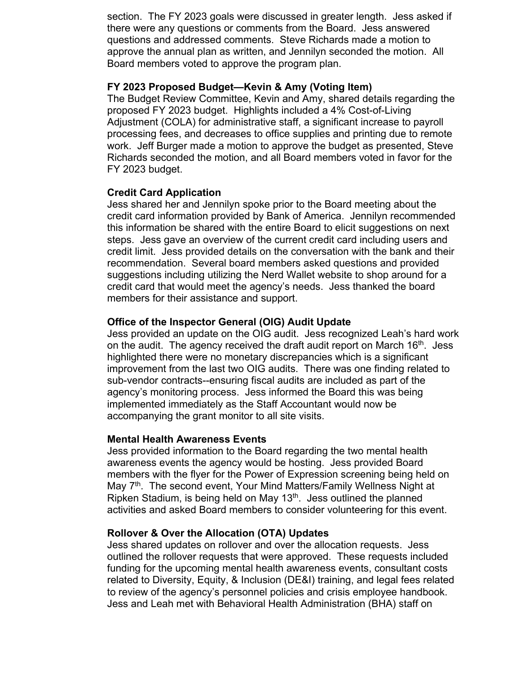section. The FY 2023 goals were discussed in greater length. Jess asked if there were any questions or comments from the Board. Jess answered questions and addressed comments. Steve Richards made a motion to approve the annual plan as written, and Jennilyn seconded the motion. All Board members voted to approve the program plan.

#### **FY 2023 Proposed Budget—Kevin & Amy (Voting Item)**

The Budget Review Committee, Kevin and Amy, shared details regarding the proposed FY 2023 budget. Highlights included a 4% Cost-of-Living Adjustment (COLA) for administrative staff, a significant increase to payroll processing fees, and decreases to office supplies and printing due to remote work. Jeff Burger made a motion to approve the budget as presented, Steve Richards seconded the motion, and all Board members voted in favor for the FY 2023 budget.

### **Credit Card Application**

Jess shared her and Jennilyn spoke prior to the Board meeting about the credit card information provided by Bank of America. Jennilyn recommended this information be shared with the entire Board to elicit suggestions on next steps. Jess gave an overview of the current credit card including users and credit limit. Jess provided details on the conversation with the bank and their recommendation. Several board members asked questions and provided suggestions including utilizing the Nerd Wallet website to shop around for a credit card that would meet the agency's needs. Jess thanked the board members for their assistance and support.

#### **Office of the Inspector General (OIG) Audit Update**

Jess provided an update on the OIG audit. Jess recognized Leah's hard work on the audit. The agency received the draft audit report on March 16<sup>th</sup>. Jess highlighted there were no monetary discrepancies which is a significant improvement from the last two OIG audits. There was one finding related to sub-vendor contracts--ensuring fiscal audits are included as part of the agency's monitoring process. Jess informed the Board this was being implemented immediately as the Staff Accountant would now be accompanying the grant monitor to all site visits.

#### **Mental Health Awareness Events**

Jess provided information to the Board regarding the two mental health awareness events the agency would be hosting. Jess provided Board members with the flyer for the Power of Expression screening being held on May 7<sup>th</sup>. The second event, Your Mind Matters/Family Wellness Night at Ripken Stadium, is being held on May  $13<sup>th</sup>$ . Jess outlined the planned activities and asked Board members to consider volunteering for this event.

#### **Rollover & Over the Allocation (OTA) Updates**

Jess shared updates on rollover and over the allocation requests. Jess outlined the rollover requests that were approved. These requests included funding for the upcoming mental health awareness events, consultant costs related to Diversity, Equity, & Inclusion (DE&I) training, and legal fees related to review of the agency's personnel policies and crisis employee handbook. Jess and Leah met with Behavioral Health Administration (BHA) staff on